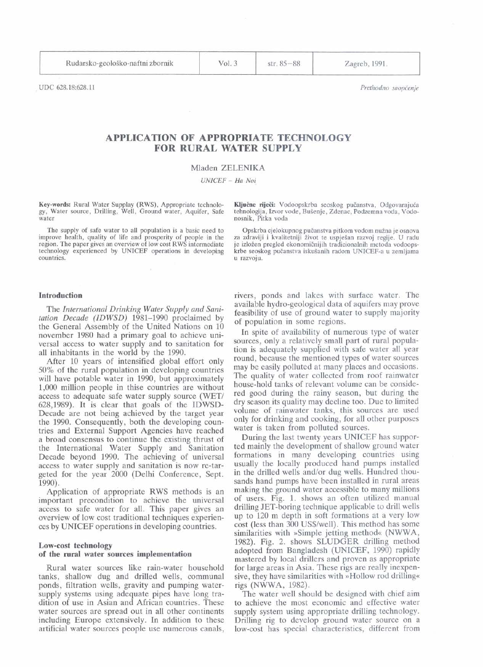**Rudarsko-geoloSko-naftni** zbornik

Vol. 3

str. 85-88

Zagreb, 1991.

# **APPLICATION OF APPROPRIATE TECHNOLOGY FOR RURAL WATER SUPPLY**

# Mladen ZELENIKA

UNICEF - Ha Noi

**Key-words:** Rural Water Supplay (RWS), Appropriate technolo-<br>gy, Water source, Drilling, Well, Ground water, Aquifer, Safe tehnologija, Izvor vode, Bušenje, Zdenac, Podzemna voda, Vodogy, Water source, Drilling, Well, Ground water, Aquifer, Safe water

The supply of safe water to all population is a basic need to<br>improve health, quality of life and prosperity of people in the<br>region. The paper gives an overview of low cost RWS intermediate<br>je izložen pregled ekonomičniji region. The paper gives an overview of low cost RWS intermediate technology experienced by UNICEF operations in developing countries. u razvoju.

## **Introduction**

The *International Drinking Water Supply and Sanitation Decade (IDWSD)* 1981-1990 proclaimed by the General Assembly of the United Nations on 10 november 1980 had a primary goal to achieve universal access to water supply and to sanitation for all inhabitants in the world by the 1990.

After 10 years of intensified global effort only 50% of the rural population in developing countries will have potable water in 1990, but approximately 1,000 miltion people in thise countries are without access to adequate safe water supply source (WET/ 628,1989). It is clear that goals of the IDWSD-Decade are not being achieved by the target year the 1990. Consequently, both the developing countries and External Support Agencies have reached a broad consensus to continue the existing thrust of the International Water Supply and Sanitation Decade beyond 1990. The achieving of universal access to water supply and sanitation is now re-targeted for the year 2000 (Delhi Conference, Sept. 1990).

Application of appropriate RWS methods is an important precondition to achieve the universal access to safe water for all. This paper gives an overview of low cost traditional techniques experiences by UNICEF operations in developing countries.

# **Low-cost technology**

# **of the rural water sources implementation**

Rural water sources like rain-water household tanks, shallow dug and drilled wells, communal ponds, filtration wells, gravity and pumping watersupply systems using adequate pipes have long tradition of use in Asian and African countries. These water sources are spread out in all other continents including Europe extensively. In addition to these artificial water sources people use numerous canals,

nosnik, Pitka voda

technology experienced by UNICEF operations in developing krbe seoskog pučanstva iskušanih radom UNICEF-a u zemljama<br>u razvoju.

rivers, ponds and lakes with surface water. The available hydro-geological data of aquifers may prove feasibility of use of ground water to supply majority of population in some regions.

In spite of availability of numerous type of water sources, only a relatively small part of rural population is adequately supplied with safe water all year round, because the mentioned types of water sources may be easily polluted at many places and occasions. The quality of water collected from roof rainwater house-hold tanks of relevant volume can be considered good during the rainy season, but during the dry season its quality may decline too. Due to limited volume of rainwater tanks, this sources are used only for drinking and cooking, for all other purposes water is taken from polluted sources.

During the last twenty years UNICEF has supported mainly the development of shallow ground water formations in many developing countries using usually the locally produced hand pumps installed in the drilled wells and/or dug wells. Hundred thousands hand pumps have been installed in rural areas making the ground water accessible to many millions of users. Fig. 1. shows an often utilized manual drilling JET-boring technique applicable to drill wells up to 120 m depth in soft formations at a very low cost (less than 300 US\$/well). This method has some similarities with »Simple jetting method« (NWWA, 1982). Fig. 2. shows SLUDGER drilling method adopted from Bangladesh (UNICEF, 1990) rapidly mastered by local drillers and proven as appropriate for large areas in Asia. These rigs are really inexpensive, they have similarities with »Hollow rod drilling« rigs (NWWA, 1982).

The water well should be designed with chief aim to achieve the most economic and effective water supply system using appropriate drilling technology. Drilling rig to develop ground water source on a low-cost has special characteristics, different from

UDC **628.18:628.11** *Prethodno saoptenje*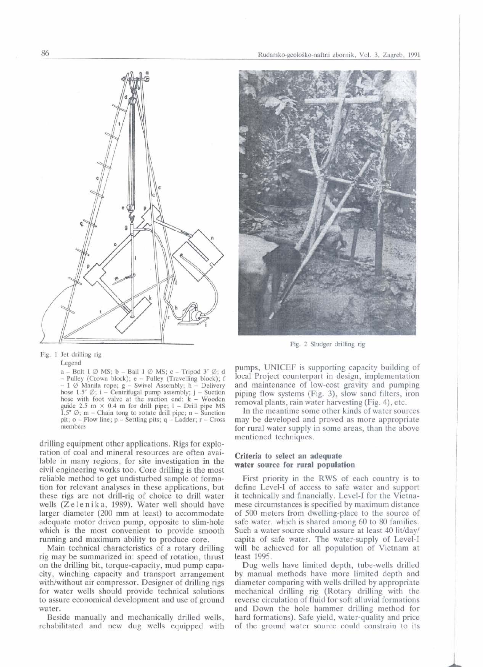



Fig. 2 Sludger drilling rig

Fig. 1 Jet drilling rig

Legend

 $a - Bolt 1 \oslash MS$ ; b - Bail 1  $\oslash MS$ ; c - Tripod 3"  $\oslash$ ; d - Pulley (Crown block); e - Pulley (Travelling block); f - 1  $\emptyset$  Manila rope; g - Swivel Assembly; h - Delivery  $-1 \n\times$  Manila rope; g – Swivel Assembly; h – Delivery hose 1.5"  $\emptyset$ ; i – Centrifugal pump assembly; j – Suction hose with foot valve at the suction end; k – Wooden hose with foot valve at the suction end;  $k - W$ ooden guide 2.5 m  $\times$  0.4 m for drill pipe; 1 - Drill pipe MS guide 2.5 m  $\times$  0.4 m for drill pipe; 1 – Drill pipe MS<br>1.5"  $\varnothing$ ; m – Chain tong to rotate drill pipe; n – Sunction pit; o - How line; p - Settling pits; **q** - Ladder; r - Cross members

drilling equipment other applications. Rigs for exploration of coal and mineral resources are often available in many regions, for site investigation in the civil engineering works too. Core drilling is the most reliable method to get undisturbed sample of formation for relevant analyses in these applications, but these rigs are not drill-rig of choice to drill water wells  $(Z \cdot \text{le n} \cdot \text{ik a}, 1989)$ . Water well should have larger diameter (200 **mm** at least) to accommodate adequate motor driven pump, opposite to slim-hole which is the most convenient to provide smooth running and maximum ability to produce core.

Main technical characteristics of a rotary drilling rig may be summarized in: speed of rotation, thrust on the drilling bit, torque-capacity, mud pump capacity, winching capacity and transport arrangement with/without air compressor. Designer of drilling rigs for water wells should provide technical solutions to assure economical development and use of ground water.

Beside manually and mechanically drilled wells, rehabilitated and new dug wells equipped with pumps, UNICEF is supporting capacity building of local Project counterpart in design, implementation and maintenance of low-cost gravity and pumping piping flow systems (Fig. 3), slow sand filters, iron removal plants, rain water harvesting (Fig. 4), etc.

In the meantime some other kinds of water sources may be developed and proved as more appropriate for rural water supply in some areas, than the above mentioned techniques.

## **Criteria to select an adequate water source for rural population**

First priority in the RWS of each country is to define Level-I of access to safe water and support it technically and financially. Level-I for the Vietnamese circumstances is specified by maximum distance of 500 meters from dwelling-place to the source of safe water. which is shared among 60 to 80 families. Such a water source should assure at least 40 lit/day/ capita of safe water. The water-supply of Level-I will be achieved for all population of Vietnam at least 1995.

Dug wells have limited depth, tube-wells drilled by manual methods have more limited depth and diameter comparing with wells drilled by appropriate mechanical drilling rig (Rotary drilling with the reverse circulation of fluid for soft alluvial formations and Down the hole hammer drilling method for hard formations). Safe yield, water-quality and price of the ground water source could constrain to its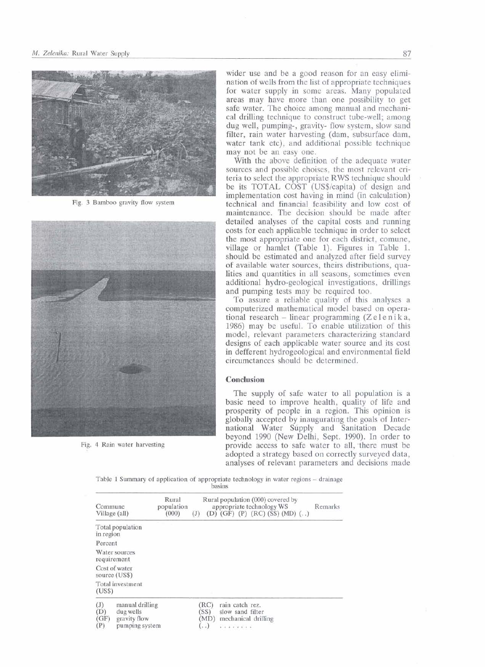



Fig. 4 Rain water harvesting

wider use and be a good reason for an easy elimi-.nation of wells from the list of appropriate techniques for water supply in some areas. Many populated areas may have more than one possibility to get safe water. The choice among manual and mechanical drilling techniaue to construct tube-well: among dug well, pumping-, gravity- flow system, slow sand filter, rain water harvesting (dam, subsurface dam, water tank etc), and additional possible technique may not be an easy one.

With the above definition of the adequate water sources and possible choises, the most relevant criteria to select the appropriate RWS technique should be its TOTAL COST (US\$/capita) of design and implementation cost having in mind (in calculation) Fig. 3 Bamboo gravity flow system technical and financial feasibility and low cost of maintenance. The decision should be made after detailed analyses of the capital costs and running costs for each applicable technique in order to select the most appropriate one for each district, comune, village or hamlet (Table 1). Figures in Table 1. should be estimated and analyzed after field survey of available water sources, theirs distributions, qualities and quantities in all seasons, sometimes even additional hydro-geological investigations, drillings and pumping tests may be required too.

To assure a reliable quality of this analyses a computerized mathematical model based on opera-**I and pumping tests may be required too.**<br> **I Co** assure a reliable quality of this analyses a computerized mathematical model based on operational research – linear programming (Zelenika, 1986) may be useful. To enable tional research - linear programming  $(Z \cdot \text{else} n \cdot \text{ik} a,$ 1986) mav be useful. To enable utilization of this designs of each applicable water source and its cost in defferent hydrogeological and environmental field circumctances should be determined.

## **Conclusion**

The supply of safe water to all population is a basic need to improve health, quality of life and prosperity of people in a region. This opinion is globally accepted by inaugurating the goals of International Water Supply and Sanitation Decade beyond 1990 (New Delhi, Sept. 1990). In order to provide access to safe water to all, there must be adopted a strategy based on correctly surveyed data, analyses of relevant parameters and decisions made

Table 1 Summary of application of appropriate technology in water regions - drainage basins

| Commune<br>Village (all)  |                                                                | Rural<br>population<br>(000) | (J) |                                  | appropriate technology WS |  |                                         |  | Rural population (000) covered by<br>(D) (GF) (P) (RC) (SS) (MD) $(.)$ |  | Remarks |
|---------------------------|----------------------------------------------------------------|------------------------------|-----|----------------------------------|---------------------------|--|-----------------------------------------|--|------------------------------------------------------------------------|--|---------|
| in region                 | Total population                                               |                              |     |                                  |                           |  |                                         |  |                                                                        |  |         |
| Percent                   |                                                                |                              |     |                                  |                           |  |                                         |  |                                                                        |  |         |
|                           | Water sources<br>requirement                                   |                              |     |                                  |                           |  |                                         |  |                                                                        |  |         |
|                           | Cost of water<br>source (US\$)                                 |                              |     |                                  |                           |  |                                         |  |                                                                        |  |         |
| (USS)                     | Total investment                                               |                              |     |                                  |                           |  |                                         |  |                                                                        |  |         |
| (J)<br>(D)<br>(GF)<br>(P) | manual drilling<br>dug wells<br>gravity flow<br>pumping system |                              |     | (RC)<br>(SS)<br>(MD)<br>$\cdots$ | rain catch rez.           |  | slow sand filter<br>mechanical drilling |  |                                                                        |  |         |